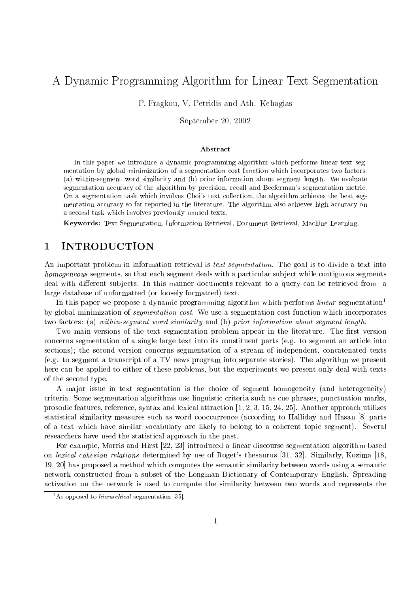# A Dynamic Programming Algorithm for Linear Text Segmentation

P. Fragkou, V. Petridis and Ath. Kehagias

September 20, 2002

### Abstract

In this paper we introduce <sup>a</sup> dynamic programming algorithm which performs linear text segmentation by global minimization of a segmentation cost function which incorporates two factors:(a) within-segment word similarity and (b) prior information about segment length. We evaluate segmentation accuracy of the algorithm by precision, recall and Beeferman's segmentation metric.On a segmentation task which involves Choi's text collection, the algorithm achieves the best segmentation accuracy so far reported in the literature. The algorithm also achieves high accuracy on a second task which involves previously unused texts.

Keywords: Text Segmentation, Information Retrieval, Document Retrieval, Machine Learning.

### **INTRODUCTION** 1

An important problem in information retrieval is text segmentation. The goal is to divide a text into homogeneous segments, so that each segment deals with a particular subject while contiguous segments deal with different subjects. In this manner documents relevant to a query can be retrieved from a large database of unformatted (or loosely formatted) text.

In this paper we propose a dynamic programming algorithm which performs *linear* segmentation<sup>1</sup> by global minimization of segmentation cost. We use a segmentation cost function which incorporates two factors: (a) within-segment word similarity and (b) prior information about segment length.

Two main versions of the text segmentation problem appear in the literature. The first version concerns segmentation of a single large text into its constituent parts (e.g. to segment an article into sections); the second version concerns segmentation of a stream of independent, concatenated texts (e.g. to segment a transcript of a TV news program into separate stories). The algorithm we present here can be applied to either of these problems, but the experiments we present only deal with texts of the second type.

A major issue in text segmentation is the choice of segment homogeneity (and heterogeneity) criteria. Some segmentation algorithms use linguistic criteria such as cue phrases, punctuation marks, prosodic features, reference, syntax and lexical attraction [1, 2, 3, 15, 24, 25]. Another approach utilizes statistical similarity measures such asword cooccurrence (according to Halliday and Hasan [8] parts of a text which have similar vocabulary are likely to belong to a coherent topic segment). Several researchers have used the statistical approach in the past.

For example, Morris and Hirst [22, 23] introduced a linear discourse segmentation algorithm based on lexical cohesion relations determined by use of Roget's thesaurus [31, 32]. Similarly, Kozima [18, 19, 20] has proposed a method which computes the semantic similarity between words using a semantic network constructed from a subset of the Longman Dictionary of Contemporary English. Spreading activation on the network is used to compute the similarity between two words and represents the

 $<sup>1</sup>$ As opposed to *hierarchical* segmentation [35].</sup>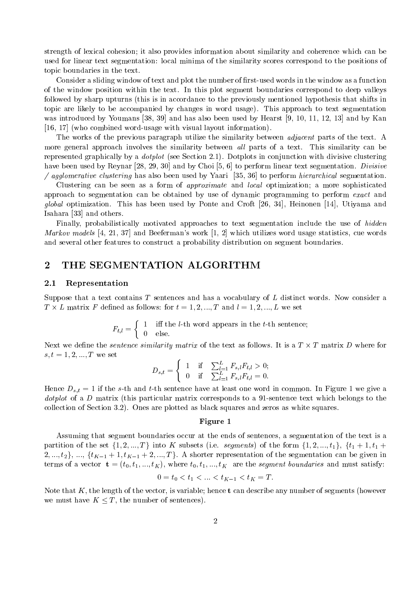strength of lexical cohesion; it also provides information about similarity and coherence which can be used for linear text segmentation: local minima of the similarity scores correspond to the positions of topic boundaries in the text.

Consider a sliding window of text and plot the number of first-used words in the window as a function of the window position within the text. In this plot segment boundaries correspond to deep valleys followed by sharp upturns (this is in accordance to the previously mentioned hypothesis that shifts in topic are likely to be accompanied by changes in word usage). This approach to text segmentation was introduced by Youmans [38, 39] and has also been used by Hearst [9, 10, 11, 12, 13] and by Kan [16, 17] (who combined word-usage with visual layout information).

The works of the previous paragraph utilize the similarity between *adjacent* parts of the text. A more general approach involves the similarity between all parts of a text. This similarity can be represented graphically by a dotplot (see Section 2.1). Dotplots in conjunction with divisive clustering have been used by Reynar [28, 29, 30] and by Choi [5, 6] to perform linear text segmentation. *Divisive* / agglomerative clustering has also been used by Yaari [35, 36] to perform hierarchical segmentation.

Clustering can be seen as a form of approximate and local optimization; a more sophisticated approach to segmentation can be obtained by use of dynamic programming to perform exact and global optimization. This has been used by Ponte and Croft [26, 34], Heinonen [14], Utiyama and Isahara [33] and others.

Finally, probabilistically motivated approaches to text segmentation include the use of hidden *Markov models* [4, 21, 37] and Beeferman's work  $[1, 2]$  which utilizes word usage statistics, cue words and several other features to construct a probability distribution on segment boundaries.

# 2 THE SEGMENTATION ALGORITHM

# 2.1 Representation

Suppose that a text contains  $T$  sentences and has a vocabulary of  $L$  distinct words. Now consider a <sup>T</sup> - <sup>L</sup> matrix <sup>F</sup> dened as follows: for <sup>t</sup> = 1; 2; :::; T and <sup>l</sup> = 1; 2; :::; L we set

$$
F_{t,l} = \begin{cases} 1 & \text{iff the } l\text{-th word appears in the } t\text{-th sentence;} \\ 0 & \text{else.} \end{cases}
$$

 $N$  $s, t = 1, 2, ..., T$  we set

$$
D_{s,t} = \begin{cases} 1 & \text{if } \sum_{l=1}^{L} F_{s,l} F_{t,l} > 0; \\ 0 & \text{if } \sum_{l=1}^{L} F_{s,l} F_{t,l} = 0. \end{cases}
$$

Hence  $D_{s,t} = 1$  if the s-th and t-th sentence have at least one word in common. In Figure 1 we give a dotplot of a D matrix (this particular matrix corresponds to a 91-sentence text which belongs to the collection of Section 3.2). Ones are plotted as black squares and zeros as white squares.

# Figure 1

Assuming that segment boundaries occur at the ends of sentences, a segmentation of the text is a partition of the set  $\{1, 2, ..., T\}$  into K subsets (i.e. segments) of the form  $\{1, 2, ..., t_1\}$ ,  $\{t_1 + 1, t_1 +$  $2, ..., t_2$ ,  $...,$   $\{t_{K-1} + 1, t_{K-1} + 2, ..., T\}$ . A shorter representation of the segmentation can be given in terms of a vector  $\mathbf{t} = (t_0, t_1, ..., t_K)$ , where  $t_0, t_1, ..., t_K$  are the segment boundaries and must satisfy:

$$
0 = t_0 < t_1 < \ldots < t_{K-1} < t_K = T.
$$

Note that  $K$ , the length of the vector, is variable; hence  $t$  can describe any number of segments (however we must have  $K \leq T$ , the number of sentences).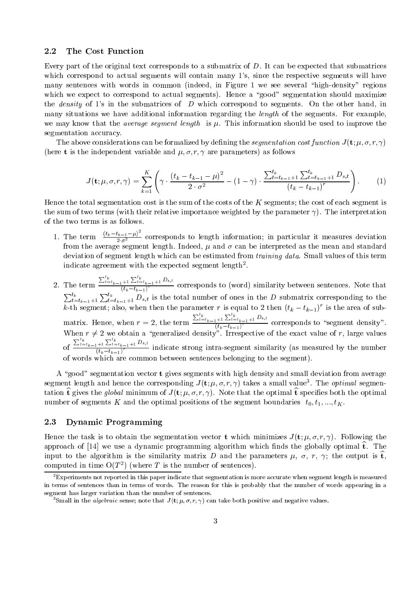#### $2.2$ The Cost Function

Every part of the original text corresponds to a submatrix of D. It can be expected that submatrices which correspond to actual segments will contain many 1's, since the respective segments will have many sentences with words in common (indeed, in Figure 1 we see several "high-density" regions which we expect to correspond to actual segments). Hence a "good" segmentation should maximize the *density* of 1's in the submatrices of  $D$  which correspond to segments. On the other hand, in many situations we have additional information regarding the length of the segments. For example, we may know that the *average segment length* is  $\mu$ . This information should be used to improve the segmentation accuracy.

The above considerations can be formalized by defining the *seqmentation cost function*  $J(\mathbf{t}; \mu, \sigma, r, \gamma)$ (here **t** is the independent variable and  $\mu$ ,  $\sigma$ ,  $r$ ,  $\gamma$  are parameters) as follows

$$
J(\mathbf{t}; \mu, \sigma, r, \gamma) = \sum_{k=1}^{K} \left( \gamma \cdot \frac{(t_k - t_{k-1} - \mu)^2}{2 \cdot \sigma^2} - (1 - \gamma) \cdot \frac{\sum_{t=t_{k-1}+1}^{t_k} \sum_{t=t_{k-1}+1}^{t_k} D_{s,t}}{(t_k - t_{k-1})^r} \right). \tag{1}
$$

Hence the total segmentation cost is the sum of the costs of the  $K$  segments; the cost of each segment is the sum of two terms (with their relative importance weighted by the parameter  $\gamma$ ). The interpretation of the two terms is as follows.

- 1. The term  $\frac{(t_k-t_{k-1}-\mu)^2}{2\cdot\sigma^2}$  corresponds to length information; in particular it measures deviation from the average segment length. Indeed, and can be interpreted as the mean and standard deviation of segment length which can be estimated from *training data*. Small values of this term indicate agreement with the expected segment length2 .
- 2. The term  $\sum_{t=t_{k-1}+1}^{k} \sum_{t=t_{k-1}+1}^{k} D_{s,t}$  $(t_k-t_{k-1})$ r corresponds to (word) similarity between sentences. Note that the sentences.  $\sum_{t=t_{k-1}+1}^{t_k}\sum_{t=t_{k-1}+1}^{t_k}D_{s,t}$  is the total number of ones in the D submatrix corresponding to the k-th segment; also, when then the parameter r is equal to 2 then  $(t_k-t_{k-1})$  is the area of submatrix. Hence, when results are a 2; the term of the term of the term of the term of the term of the term of t  $\sum_{t=t_{k-1}+1}^{k} \sum_{t=t_{k-1}+1}^{k} D_{s,t}$  $(t_k-t_{k-1})$  corresponds to  $\mathbf{r}$  corresponds to  $\mathbf{r}$ When references a system a system a system of the exact value of  $\mathbf{r}$  respective of  $\mathbf{r}$ of  $\frac{\sum_{t=t_{k-1}+1}^{c_k} \sum_{t=t_{k-1}+1}^{c_k} D_{s,t}}{\sum_{t=t_{k-1}+1}^{r} D_{s,t}}$  ind  $(t_k-t_{k-1})$  is the strong intra-segment signals intra-segment similarity (as measured by the number of  $t$ of words which are common between sentences belonging to the sentence belonging to the sentence  $\mathbf{r}$

A "good" segmentation vector  $t$  gives segments with high density and small deviation from average segment length and hence the corresponding  $J(\mathbf{t};\mu, o, r, \gamma)$  takes a small value . The *optimal* segmentation  $\hat{\mathbf{t}}$  gives the global minimum of  $J(\mathbf{t}; \mu, \sigma, r, \gamma)$ . Note that the optimal  $\hat{\mathbf{t}}$  specifies both the optimal number of segments K and the optimal positions of the segment boundaries  $t_0, t_1, ..., t_K$ .

# 2.3 Dynamic Programming

Hence the task is to obtain the segmentation vector **t** which minimizes  $J(t; \mu, \sigma, r, \gamma)$ . Following the approach of [14] we use a dynamic programming algorithm which finds the globally optimal  $\hat{\mathbf{t}}$ . The input to the algorithm is the similarity matrix D and the parameters  $\mu$ ,  $\sigma$ ,  $r$ ,  $\gamma$ ; the output is  $\hat{\mathbf{t}}$ , computed in time  $O(T^-)$  (where  $T$  is the number of sentences).

 ${}^{2}$ Experiments not reported in this paper indicate that segmentation is more accurate when segment length is measured in terms of sentences than in terms of words. The reason for this is probably that the number of words appearing in a segment has larger variation than the number of sentences.

<sup>&</sup>lt;sup>3</sup>Small in the *algebraic* sense; note that  $J(t; \mu, \sigma, r, \gamma)$  can take both positive and negative values.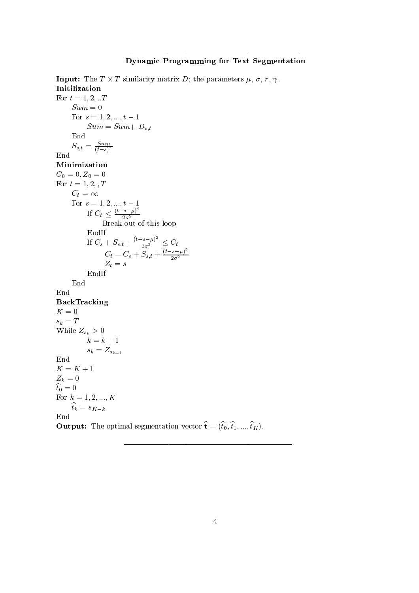# Dynamic Programming for Text Segmentation

 $\mathbf{r}$  is the T  $\mathbf{r}$   $\mathbf{r}$  is a similarity matrix  $\mathbf{r}$ , and parameters  $\mu_i$  of  $\mathbf{r}$ ,  $\mathbf{r}$ Initilization For  $t = 1, 2, ...T$  $Sum = 0$ For  $s = 1, 2, ..., t - 1$  $Sum = Sum + D_{s,t}$  $S_{s,t} = \frac{1}{(t-s)^r}$ End Minimization  $C_0 = 0, Z_0 = 0$ For  $t = 1, 2, T$  $\sim$   $\iota$   $\sim$  1  $\sim$  1  $\sim$  1  $\sim$  1  $\sim$  1  $\sim$  1  $\sim$  1  $\sim$  1  $\sim$  1  $\sim$  1  $\sim$  1  $\sim$  1  $\sim$  1  $\sim$  1  $\sim$  1  $\sim$  1  $\sim$  1  $\sim$  1  $\sim$  1  $\sim$  1  $\sim$  1  $\sim$  1  $\sim$  1  $\sim$  1  $\sim$  1  $\sim$  1  $\sim$  1  $\sim$  1  $\sim$  1  $\sim$  1 If  $C_t \leq \frac{(t-s-\mu)^2}{2\sigma^2}$ Break out of this loop is loop to the control of the control of the control of the control of the control of th If  $C_s + S_{s,t} + \frac{(t - s - \mu)^2}{2\sigma^2} \leq C_t$  $C_t = C_s + S_{s,t} + \frac{(t-s-\mu)^2}{2\sigma^2}$  $Z_t = s$ EndIf End End BackTracking  $K=0$  $\sim$  T  $\sim$  T  $\sim$  T  $\sim$  T  $\sim$  T  $\sim$  T  $\sim$  T  $\sim$  T  $\sim$  T  $\sim$  T  $\sim$  T  $\sim$  T  $\sim$  T  $\sim$  T  $\sim$  T  $\sim$  T  $\sim$  T  $\sim$  T  $\sim$  T  $\sim$  T  $\sim$  T  $\sim$  T  $\sim$  T  $\sim$  T  $\sim$  T  $\sim$  T  $\sim$  T  $\sim$  T  $\sim$  T  $\sim$  T  $\sim$  T  $\sim$  $\cdots$   $\cdots$   $\cdots$   $\cdots$   $\cdots$  $k = k + 1$  $s_k = Z_{s_{k-1}}$ End  $K = K + 1$  $Z_k = 0$  $\widehat{t}_0 = 0$ For  $k = 1, 2, ..., K$  $\widehat{t}_k = s_{K-k}$ **Output:** The optimal segmentation vector  $\mathbf{v} = (v_0, v_1, ..., v_K)$ .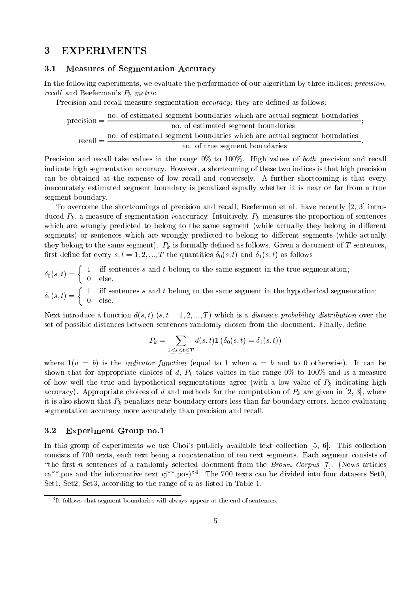### 3 **EXPERIMENTS**

#### $3.1$ 3.1 Measures of Segmentation Accuracy

In the following experiments, we evaluate the performance of our algorithm by three indices: precision, recall and Beeferman's  $P_k$  metric.

Precision and recall measure segmentation *accuracy*; they are defined as follows:

$$
precision = \frac{no. of estimated segment boundaries which are actual segment boundaries}{no. of estimated segment boundaries};
$$

$$
recall = \frac{no. of estimated segment boundaries which are actual segment boundaries}{no. of true segment boundaries}.
$$

Precision and recall take values in the range 0% to 100%. High values of both precision and recall indicate high segmentation accuracy. However, a shortcoming of these two indices is that high precision can be obtained at the expense of low recall and conversely. A further shortcoming is that every inaccurately estimated segment boundary is penalized equally whether it is near or far from a true segment boundary.

To overcome the shortcomings of precision and recall, Beeferman et al. have recently [2, 3] introduced  $P_k$ , a measure of segmentation *inaccuracy*. Intuitively,  $P_k$  measures the proportion of sentences which are wrongly predicted to belong to the same segment (while actually they belong in different segments) or sentences which are wrongly predicted to belong to different segments (while actually they belong to the same segment).  $P_k$  is formally defined as follows. Given a document of T sentences, first define for every  $s, t = 1, 2, ..., T$  the quantities  $\delta_0(s, t)$  and  $\delta_1(s, t)$  as follows

 $\delta_0(s,t) = \begin{cases} 1 & \text{iff sentences } s \text{ and } t \text{ belong to the same segment in the true segmentation;} \\ 0 & \text{if } s \text{ is the same element.} \end{cases}$  $\delta_1(s,t) = \begin{cases} 1 & \text{iff sentences } s \text{ and } t \text{ belong to the same segment in the hypothetical segmentation;} \\ 0 & \text{if } s \text{ is the same element.} \end{cases}$ 

Next introduce a function  $d(s, t)$   $(s, t = 1, 2, ..., T)$  which is a *distance probability distribution* over the set of possible distances between sentences randomly chosen from the document. Finally, define

$$
P_k = \sum_{1 \le s \le t \le T} d(s, t) \mathbf{1} \left( \delta_0(s, t) = \delta_1(s, t) \right)
$$

where  $1(a = b)$  is the *indicator function* (equal to 1 when  $a = b$  and to 0 otherwise). It can be shown that for appropriate choices of d,  $P_k$  takes values in the range 0% to 100% and is a measure of how well the true and hypothetical segmentations agree (with a low value of  $P_k$  indicating high accuracy). Appropriate choices of d and methods for the computation of  $P_k$  are given in [2, 3], where it is also shown that  $P_k$  penalizes near-boundary errors less than far-boundary errors, hence evaluating segmentation accuracy more accurately than precision and recall.

# 3.2 Experiment Group no.1

In this group of experiments we use Choi's publicly available text collection [5, 6]. This collection consists of 700 texts, each text being a concatenation of ten text segments. Each segment consists of "the first n sentences of a randomly selected document from the *Brown Corpus* [7]. (News articles ca $^{\circ}$  , pos and the informative text cj  $^{\circ}$  . pos)  $^{\circ}$  . The 700 texts can be divided into four datasets Set0, Set1, Set2, Set3, according to the range of n as listed in Table 1.

<sup>4</sup> It follows that segment boundaries will always appear at the end of sentences.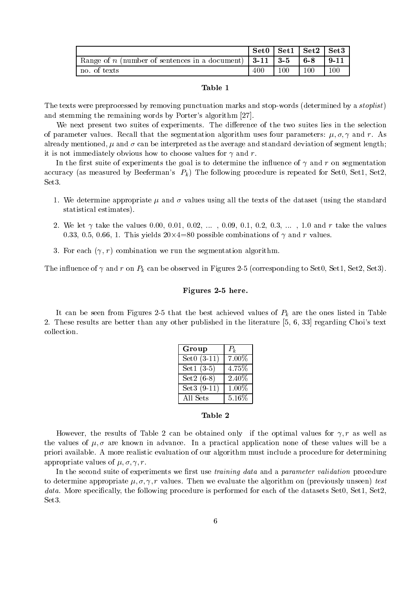|                                                                                               |     |     | Set0   Set1   Set2   Set3 |         |
|-----------------------------------------------------------------------------------------------|-----|-----|---------------------------|---------|
| <sup>t</sup> Range of <i>n</i> (number of sentences in a document)   <b>3-11</b>   <b>3-5</b> |     |     | $6-8$                     | $ 9-11$ |
| no. of texts                                                                                  | 400 | 100 | 100                       | 100     |

# Table 1

The texts were preprocessed by removing punctuation marks and stop-words (determined by a *stoplist*) and stemming the remaining words by Porter's algorithm [27].

We next present two suites of experiments. The difference of the two suites lies in the selection of parameter values. Recall that the segmentation algorithm uses four parameters:  $\mu, \sigma, \gamma$  and r. As already mentioned,  $\mu$  and  $\sigma$  can be interpreted as the average and standard deviation of segment length; it is not immediately obvious how to choose values for  $\gamma$  and r.

In the first suite of experiments the goal is to determine the influence of  $\gamma$  and r on segmentation accuracy (as measured by Beeferman's  $P_k$ ) The following procedure is repeated for Set0, Set1, Set2, Set3.

- 1. We determine appropriate  $\mu$  and  $\sigma$  values using all the texts of the dataset (using the standard statistical estimates).
- 2. We let  $\gamma$  take the values 0.00, 0.01, 0.02, ..., 0.09, 0.1, 0.2, 0.3, ..., 1.0 and r take the values 0.33, 0.3, 0.66, 2. This yields 20.1. 20.1. Possible component is a good of the component of the component of
- 3. For each  $(\gamma, r)$  combination we run the segmentation algorithm.

The influence of  $\gamma$  and r on  $P_k$  can be observed in Figures 2-5 (corresponding to Set0, Set1, Set2, Set3).

# Figures 2-5 here.

It can be seen from Figures 2-5 that the best achieved values of  $P_k$  are the ones listed in Table 2. These results are better than any other published in the literature [5, 6, 33] regarding Choi's text collection.

| Group        | $P_k$    |
|--------------|----------|
| $Set0(3-11)$ | 7.00%    |
| $Set1(3-5)$  | $4.75\%$ |
| $Set2(6-8)$  | 2.40\%   |
| $Set3(9-11)$ | $1.00\%$ |
| All Sets     | $5.16\%$ |

# Table 2

However, the results of Table 2 can be obtained only if the optimal values for  $\gamma$ , r as well as the values of  $\mu, \sigma$  are known in advance. In a practical application none of these values will be a priori available. A more realistic evaluation of our algorithm must include a procedure for determining appropriate values of  $\mu$ ,  $\sigma$ ,  $\gamma$ , r.

In the second suite of experiments we first use *training data* and a *parameter validation* procedure to determine appropriate  $\mu$ ,  $\sigma$ ,  $\gamma$ ,  $r$  values. Then we evaluate the algorithm on (previously unseen) test data. More specifically, the following procedure is performed for each of the datasets Set0, Set1, Set2, Set3.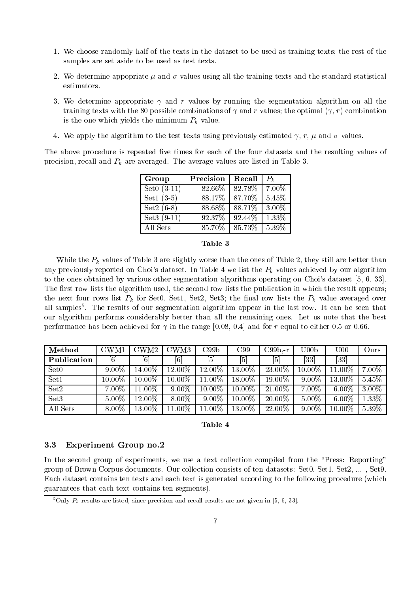- 1. We choose randomly half of the texts in the dataset to be used as training texts; the rest of the samples are set aside to be used as test texts.
- 2. We determine appopriate  $\mu$  and  $\sigma$  values using all the training texts and the standard statistical estimators.
- 3. We determine appropriate  $\gamma$  and r values by running the segmentation algorithm on all the training texts with the 80 possible combinations of  $\gamma$  and r values; the optimal  $(\gamma, r)$  combination is the one which yields the minimum  $P_k$  value.
- 4. We apply the algorithm to the test texts using previously estimated  $\gamma$ , r,  $\mu$  and  $\sigma$  values.

The above procedure is repeated five times for each of the four datasets and the resulting values of precision, recall and  $P_k$  are averaged. The average values are listed in Table 3.

| Group        | Precision | Recall     | $P_k$    |
|--------------|-----------|------------|----------|
| $Set0(3-11)$ | $82.66\%$ | 82.78%     | 7.00%    |
| $Set1(3-5)$  | 88.17%    | $187.70\%$ | 5.45%    |
| $Set2(6-8)$  | 88.68%    | 88.71\%    | 3.00%    |
| $Set3(9-11)$ | 92.37%    | 92.44%     | $1.33\%$ |
| All Sets     | 85.70%    | 85.73%     | 5.39%    |

# Table 3

While the  $P_k$  values of Table 3 are slightly worse than the ones of Table 2, they still are better than any previously reported on Choi's dataset. In Table 4 we list the  $P_k$  values achieved by our algorithm to the ones obtained by various other segmentation algorithms operating on Choi's dataset [5, 6, 33]. The first row lists the algorithm used, the second row lists the publication in which the result appears; the next four rows list  $P_k$  for Set0, Set1, Set2, Set3; the final row lists the  $P_k$  value averaged over all samples5 . The results of our segmentation algorithm appear in the last row. It can be seen that our algorithm performs considerably better than all the remaining ones. Let us note that the best performance has been achieved for  $\gamma$  in the range [0.08, 0.4] and for r equal to either 0.5 or 0.66.

| Method           | CWM1              | CWM2              | CWM3              | C99b            | C99       | $C99b-r$            | U00 <sub>b</sub>             | $_{\rm U00}$                 | Ours     |
|------------------|-------------------|-------------------|-------------------|-----------------|-----------|---------------------|------------------------------|------------------------------|----------|
| Publication      | $\lceil 6 \rceil$ | $\lceil 6 \rceil$ | $\lceil 6 \rceil$ | $\vert 5 \vert$ |           | $\lfloor 5 \rfloor$ | $\left\lceil 33\right\rceil$ | $\left\lceil 33\right\rceil$ |          |
| Set <sub>0</sub> | $9.00\%$          | 14.00%            | 12.00%            | 12.00%          | 13.00%    | 23.00%              | $10.00\%$                    | 11.00%                       | $7.00\%$ |
| Set1             | $10.00\%$         | $10.00\%$         | $10.00\%$         | $11.00\%$       | 18.00%    | 19.00%              | $9.00\%$                     | 13.00%                       | $5.45\%$ |
| Set2             | $2.00\%$          | 11.00%            | 9.00%             | 10.00%          | $10.00\%$ | 21.00%              | $7.00\%$                     | $6.00\%$                     | $3.00\%$ |
| Set <sub>3</sub> | 5.00%             | 12.00%            | $8.00\%$          | $9.00\%$        | $10.00\%$ | $20.00\%$           | 5.00%                        | $6.00\%$                     | $1.33\%$ |
| All Sets         | 8.00%             | 13.00%            | 11.00%            | 11.00%          | 13.00%    | $22.00\%$           | 9.00%                        | $10.00\%$                    | $5.39\%$ |

### Table 4

# 3.3 Experiment Group no.2

In the second group of experiments, we use a text collection compiled from the "Press: Reporting" group of Brown Corpus documents. Our collection consists of ten datasets: Set0, Set1, Set2, ... , Set9. Each dataset contains ten texts and each text is generated according to the following procedure (which guarantees that each text contains ten segments).

 $5$ Only  $P_k$  results are listed, since precision and recall results are not given in [5, 6, 33].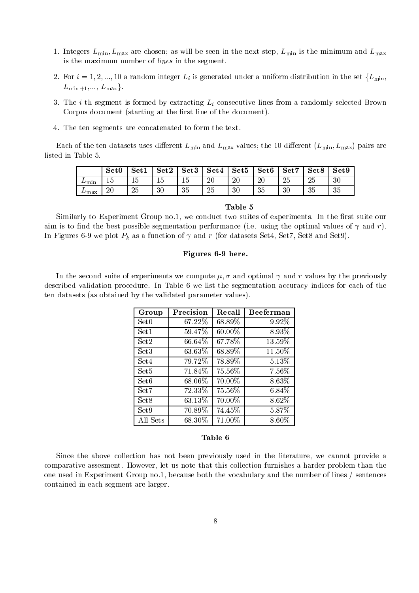- 1. Integers  $L_{\text{min}}$ ,  $L_{\text{max}}$  are chosen; as will be seen in the next step,  $L_{\text{min}}$  is the minimum and  $L_{\text{max}}$ is the maximum number of lines in the segment.
- 2. For  $i = 1, 2, ..., 10$  a random integer  $L_i$  is generated under a uniform distribution in the set  $\{L_{\min},$  $L_{\min +1},..., L_{\max}$ .
- 3. The *i*-th segment is formed by extracting  $L_i$  consecutive lines from a randomly selected Brown Corpus document (starting at the first line of the document).
- 4. The ten segments are concatenated to form the text.

Each of the ten datasets uses different  $L_{\text{min}}$  and  $L_{\text{max}}$  values; the 10 different  $(L_{\text{min}}, L_{\text{max}})$  pairs are listed in Table 5.

|                           | <b>Set0</b> | $S0$ t1 | $\mathbf{Set2}$ | Set <sub>3</sub> | Set4 | Set 5 | Set <sub>6</sub>      | Set7 | $\mathbf{Set8}$ | Set9 |
|---------------------------|-------------|---------|-----------------|------------------|------|-------|-----------------------|------|-----------------|------|
| $L_{\rm min}$             | . .<br>15   | <br>ŦΩ  | - -<br>19       | - -<br>Τŋ        | 20   | 20    | 20                    | 25   | 25              | 30   |
| $\mathbf{u}_{\text{max}}$ | $\rm 20$    | 25      | 30              | 35               | 25   | 30    | $\Omega$ $\sim$<br>υ∪ | 30   | 35              | 35   |

# Table 5

Similarly to Experiment Group no.1, we conduct two suites of experiments. In the first suite our aim is to find the best possible segmentation performance (i.e. using the optimal values of  $\gamma$  and r). In Figures 6-9 we plot  $P_k$  as a function of  $\gamma$  and r (for datasets Set4, Set7, Set8 and Set9).

# Figures 6-9 here.

In the second suite of experiments we compute  $\mu$ ,  $\sigma$  and optimal  $\gamma$  and r values by the previously described validation procedure. In Table 6 we list the segmentation accuracy indices for each of the ten datasets (as obtained by the validated parameter values).

| Group            | Precision | Recall | Beeferman |
|------------------|-----------|--------|-----------|
| Set <sub>0</sub> | 67.22%    | 68.89% | 9.92%     |
| Set1             | 59.47%    | 60.00% | 8.93%     |
| Set2             | 66.64%    | 67.78% | 13.59%    |
| Set <sub>3</sub> | 63.63%    | 68.89% | 11.50%    |
| Set4             | 79.72%    | 78.89% | 5.13%     |
| Set <sub>5</sub> | 71.84%    | 75.56% | 7.56%     |
| Set <sub>6</sub> | 68.06%    | 70.00% | $8.63\%$  |
| Set 7            | 72.33%    | 75.56% | $6.84\%$  |
| Set8             | 63.13%    | 70.00% | 8.62%     |
| Set9             | 70.89%    | 74.45% | 5.87%     |
| All Sets         | 68.30%    | 71.00% | 8.60%     |

# Table 6

Since the above collection has not been previously used in the literature, we cannot provide a comparative assesment. However, let us note that this collection furnishes a harder problem than the one used in Experiment Group no.1, because both the vocabulary and the number of lines / sentences contained in each segment are larger.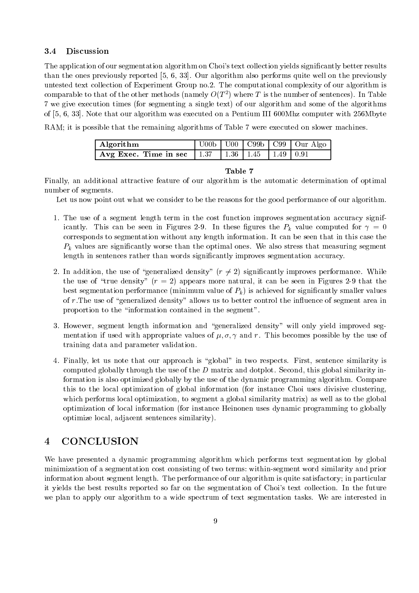#### **Discussion**  $3.4$

The application of our segmentation algorithm on Choi's text collection yields signicantly better results than the ones previously reported [5, 6, 33]. Our algorithm also performs quite well on the previously untested text collection of Experiment Group no.2. The computational complexity of our algorithm is comparable to that of the other methods (namely  $O(1^\circ)$  ) where  $T$  is the number of sentences). In Table 7 we give execution times (for segmenting a single text) of our algorithm and some of the algorithms of [5, 6, 33]. Note that our algorithm was executed on a Pentium III 600Mhz computer with 256Mbyte

RAM; it is possible that the remaining algorithms of Table 7 were executed on slower machines.

| Algorithm                                                |  |  | $U00b$   $U00$   $C99b$   $C99$   Our Algo |
|----------------------------------------------------------|--|--|--------------------------------------------|
| Avg Exec. Time in sec   1.37   1.36   1.45   1.49   0.91 |  |  |                                            |

# Table 7

Finally, an additional attractive feature of our algorithm is the automatic determination of optimal number of segments.

Let us now point out what we consider to be the reasons for the good performance of our algorithm.

- 1. The use of a segment length term in the cost function improves segmentation accuracy significantly. This can be seen in Figures 2-9. In these figures the  $P_k$  value computed for  $\gamma = 0$ corresponds to segmentation without any length information. It can be seen that in this case the  $P_k$  values are significantly worse than the optimal ones. We also stress that measuring segment length in sentences rather than words signicantly improves segmentation accuracy.
- 2. In addition, the use of "generalized density"  $(r \neq 2)$  significantly improves performance. While the use of "true density"  $(r = 2)$  appears more natural, it can be seen in Figures 2-9 that the best segmentation performance (minimum value of  $P_k$ ) is achieved for significantly smaller values of  $r$ . The use of "generalized density" allows us to better control the influence of segment area in proportion to the "information contained in the segment".
- 3. However, segment length information and "generalized density" will only yield improved segmentation if used with appropriate values of  $\mu$ ,  $\sigma$ ,  $\gamma$  and r. This becomes possible by the use of training data and parameter validation.
- 4. Finally, let us note that our approach is "global" in two respects. First, sentence similarity is computed globally through the use of the  $D$  matrix and dotplot. Second, this global similarity information is also optimized globally by the use of the dynamic programming algorithm. Compare this to the local optimization of global information (for instance Choi uses divisive clustering, which performs local optimization, to segment a global similarity matrix) as well as to the global optimization of local information (for instance Heinonen uses dynamic programming to globally optimize local, adjacent sentences similarity).

# 4 CONCLUSION

We have presented a dynamic programming algorithm which performs text segmentation by global minimization of a segmentation cost consisting of two terms: within-segment word similarity and prior information about segment length. The performance of our algorithm is quite satisfactory; in particular it yields the best results reported so far on the segmentation of Choi's text collection. In the future we plan to apply our algorithm to a wide spectrum of text segmentation tasks. We are interested in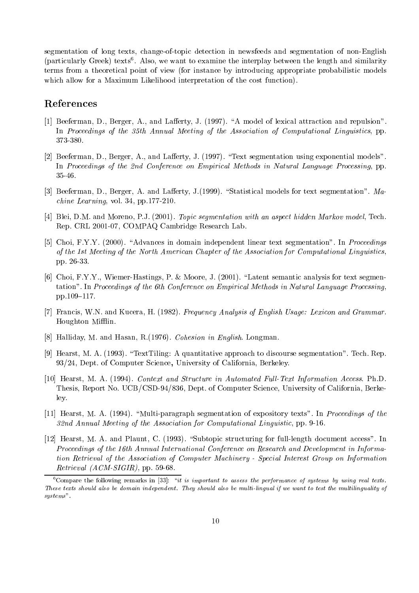segmentation of long texts, change-of-topic detection in newsfeeds and segmentation of non-English (particularly Greek) texts". Also, we want to examine the interplay between the length and similarity terms from a theoretical point of view (for instance by introducing appropriate probabilistic models which allow for a Maximum Likelihood interpretation of the cost function).

# References

- [1] Beeferman, D., Berger, A., and Lafferty, J. (1997). "A model of lexical attraction and repulsion". In Proceedings of the 35th Annual Meeting of the Association of Computational Linguistics, pp. 373-380.
- [2] Beeferman, D., Berger, A., and Lafferty, J. (1997). "Text segmentation using exponential models". In Proceedings of the 2nd Conference on Empirical Methods in Natural Language Processing, pp. 35-46.
- [3] Beeferman, D., Berger, A. and Lafferty, J.(1999). "Statistical models for text segmentation".  $Ma$ chine Learning, vol. 34, pp.177-210.
- [4] Blei, D.M. and Moreno, P.J. (2001). Topic segmentation with an aspect hidden Markov model, Tech. Rep. CRL 2001-07, COMPAQ Cambridge Research Lab.
- [5] Choi, F.Y.Y. (2000). "Advances in domain independent linear text segmentation". In Proceedings of the 1st Meeting of the North American Chapter of the Association for Computational Linguistics, pp. 26-33.
- [6] Choi, F.Y.Y., Wiemer-Hastings, P. & Moore, J.  $(2001)$ . "Latent semantic analysis for text segmentation". In Proceedings of the 6th Conference on Empirical Methods in Natural Language Processing, pp.109-117.
- [7] Francis, W.N. and Kucera, H. (1982). Frequency Analysis of English Usage: Lexicon and Grammar. Houghton Mifflin.
- [8] Halliday, M. and Hasan, R.(1976). Cohesion in English. Longman.
- [9] Hearst, M. A. (1993). "TextTiling: A quantitative approach to discourse segmentation". Tech. Rep. 93/24, Dept. of Computer Science, University of California, Berkeley.
- [10] Hearst, M. A. (1994). Context and Structure in Automated Full-Text Information Access. Ph.D. Thesis, Report No. UCB/CSD-94/836, Dept. of Computer Science, University of California, Berkeley.
- [11] Hearst, M. A. (1994). "Multi-paragraph segmentation of expository texts". In Proceedings of the 32nd Annual Meeting of the Association for Computational Linguistic, pp. 9-16.
- [12] Hearst, M. A. and Plaunt, C. (1993). "Subtopic structuring for full-length document access". In Proceedings of the 16th Annual International Conference on Research and Development in Information Retrieval of the Association of Computer Machinery - Special Interest Group on Information Retrieval (ACM-SIGIR), pp. 59-68.

 $6$ Compare the following remarks in [33]: "it is important to assess the performance of systems by using real texts. These texts should also be domain independent. They should also be multi-lingual if we want to test the multilinguality of systems".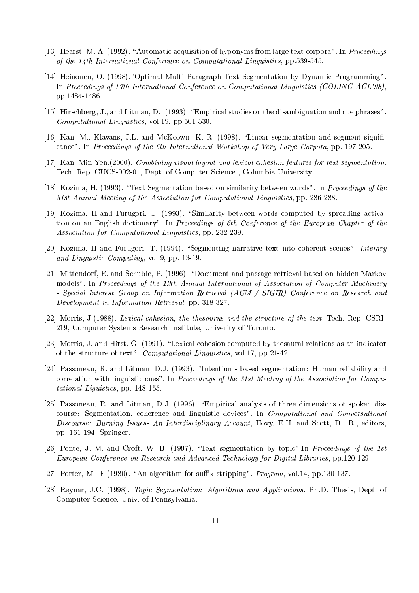- [13] Hearst, M. A. (1992). "Automatic acquisition of hyponyms from large text corpora". In Proceedings of the 14th International Conference on Computational Linguistics, pp.539-545.
- [14] Heinonen, O. (1998). "Optimal Multi-Paragraph Text Segmentation by Dynamic Programming". In Proceedings of 17th International Conference on Computational Linguistics (COLING-ACL'98), pp.1484-1486.
- [15] Hirschberg, J., and Litman, D., (1993). "Empirical studies on the disambiguation and cue phrases". Computational Linguistics, vol.19, pp.501-530.
- [16] Kan, M., Klavans, J.L. and McKeown, K. R. (1998). "Linear segmentation and segment significance". In Proceedings of the 6th International Workshop of Very Large Corpora, pp. 197-205.
- [17] Kan, Min-Yen.(2000). Combining visual layout and lexical cohesion features for text segmentation. Tech. Rep. CUCS-002-01, Dept. of Computer Science , Columbia University.
- [18] Kozima, H. (1993). "Text Segmentation based on similarity between words". In Proceedings of the 31st Annual Meeting of the Association for Computational Linguistics, pp. 286-288.
- $[19]$  Kozima, H and Furugori, T.  $(1993)$ . "Similarity between words computed by spreading activation on an English dictionary". In Proceedings of 6th Conference of the European Chapter of the Association for Computational Linguistics, pp. 232-239.
- [20] Kozima, H and Furugori, T. (1994). "Segmenting narrative text into coherent scenes". Literary and Linguistic Computing, vol.9, pp. 13-19.
- [21] Mittendorf, E. and Schuble, P. (1996). "Document and passage retrieval based on hidden Markov models". In Proceedings of the 19th Annual International of Association of Computer Machinery - Special Interest Group on Information Retrieval (ACM / SIGIR) Conference on Research and Development in Information Retrieval, pp. 318-327.
- [22] Morris, J.(1988). Lexical cohesion, the thesaurus and the structure of the text. Tech. Rep. CSRI-219, Computer Systems Research Institute, Univerity of Toronto.
- $[23]$  Morris, J. and Hirst, G.  $(1991)$ . "Lexical cohesion computed by thesaural relations as an indicator of the structure of text". Computational Linguistics, vol.17, pp.21-42.
- [24] Passoneau, R. and Litman, D.J. (1993). \Intention based segmentation: Human reliability and correlation with linguistic cues". In Proceedings of the 31st Meeting of the Association for Computational Liguistics, pp. 148-155.
- [25] Passoneau, R. and Litman, D.J. (1996). "Empirical analysis of three dimensions of spoken discourse: Segmentation, coherence and linguistic devices". In Computational and Conversational Discourse: Burning Issues- An Interdisciplinary Account, Hovy, E.H. and Scott, D., R., editors, pp. 161-194, Springer.
- [26] Ponte, J. M. and Croft, W. B. (1997). "Text segmentation by topic".In Proceedings of the 1st European Conference on Research and Advanced Technology for Digital Libraries, pp.120-129.
- [27] Porter, M., F.(1980). "An algorithm for suffix stripping". *Program*, vol.14, pp.130-137.
- [28] Reynar, J.C. (1998). Topic Segmentation: Algorithms and Applications. Ph.D. Thesis, Dept. of Computer Science, Univ. of Pennsylvania.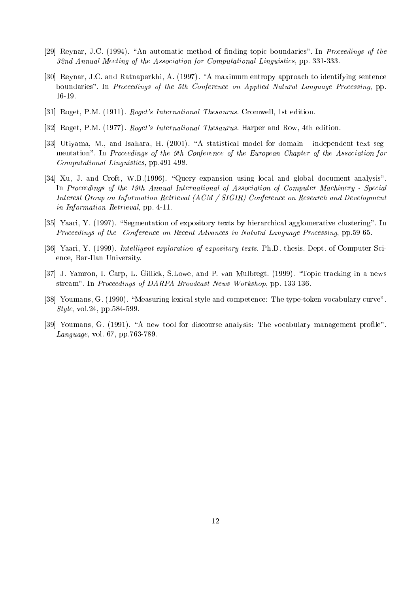- [29] Reynar, J.C. (1994). "An automatic method of finding topic boundaries". In Proceedings of the 32nd Annual Meeting of the Association for Computational Linguistics, pp. 331-333.
- [30] Reynar, J.C. and Ratnaparkhi, A. (1997). "A maximum entropy approach to identifying sentence boundaries". In Proceedings of the 5th Conference on Applied Natural Language Processing, pp. 16-19.
- [31] Roget, P.M. (1911). Roget's International Thesaurus. Cromwell, 1st edition.
- [32] Roget, P.M. (1977). Roget's International Thesaurus. Harper and Row, 4th edition.
- [33] Utiyama, M., and Isahara, H. (2001). "A statistical model for domain independent text segmentation". In Proceedings of the 9th Conference of the European Chapter of the Association for Computational Linguistics, pp.491-498.
- [34] Xu, J. and Croft, W.B.(1996). "Query expansion using local and global document analysis". In Proceedings of the 19th Annual International of Association of Computer Machinery - Special Interest Group on Information Retrieval (ACM / SIGIR) Conference on Research and Development in Information Retrieval, pp. 4-11.
- [35] Yaari, Y. (1997). "Segmentation of expository texts by hierarchical agglomerative clustering". In Proceedings of the Conference on Recent Advances in Natural Language Processing, pp.59-65.
- [36] Yaari, Y. (1999). *Intelligent exploration of expository texts.* Ph.D. thesis. Dept. of Computer Science, Bar-Ilan University.
- [37] J. Yamron, I. Carp, L. Gillick, S.Lowe, and P. van Mulbregt. (1999). \Topic tracking in a news stream". In Proceedings of DARPA Broadcast News Workshop, pp. 133-136.
- [38] Youmans, G. (1990). "Measuring lexical style and competence: The type-token vocabulary curve". Style, vol.24, pp.584-599.
- [39] Youmans, G. (1991). "A new tool for discourse analysis: The vocabulary management profile". Language, vol. 67, pp.763-789.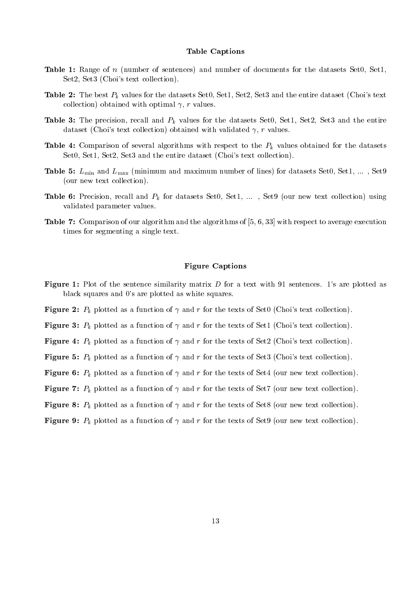# Table Captions

- Table 1: Range of n (number of sentences) and number of documents for the datasets Set0, Set1, Set2, Set3 (Choi's text collection).
- **Table 2:** The best  $P_k$  values for the datasets Set0, Set1, Set2, Set3 and the entire dataset (Choi's text collection) obtained with optimal  $\gamma$ , r values.
- **Table 3:** The precision, recall and  $P_k$  values for the datasets Set0, Set1, Set2, Set3 and the entire dataset (Choi's text collection) obtained with validated  $\gamma$ , r values.
- **Table 4:** Comparison of several algorithms with respect to the  $P_k$  values obtained for the datasets Set0, Set1, Set2, Set3 and the entire dataset (Choi's text collection).
- **Table 5:**  $L_{\text{min}}$  and  $L_{\text{max}}$  (minimum and maximum number of lines) for datasets Set0, Set1, ..., Set9 (our new text collection).
- **Table 6:** Precision, recall and  $P_k$  for datasets Set0, Set1, ..., Set9 (our new text collection) using validated parameter values.
- Table 7: Comparison of our algorithm and the algorithms of [5, 6, 33] with respect to average execution times for segmenting a single text.

# Figure Captions

- **Figure 1:** Plot of the sentence similarity matrix D for a text with 91 sentences. 1's are plotted as black squares and 0's are plotted as white squares.
- **Figure 2:**  $P_k$  plotted as a function of  $\gamma$  and r for the texts of Set0 (Choi's text collection).
- **Figure 3:**  $P_k$  plotted as a function of  $\gamma$  and r for the texts of Set1 (Choi's text collection).

**Figure 4:**  $P_k$  plotted as a function of  $\gamma$  and r for the texts of Set2 (Choi's text collection).

Figure 5:  $P_k$  plotted as a function of  $\gamma$  and r for the texts of Set3 (Choi's text collection).

Figure 6:  $P_k$  plotted as a function of  $\gamma$  and r for the texts of Set4 (our new text collection).

**Figure 7:**  $P_k$  plotted as a function of  $\gamma$  and r for the texts of Set7 (our new text collection).

**Figure 8:**  $P_k$  plotted as a function of  $\gamma$  and r for the texts of Set8 (our new text collection).

Figure 9:  $P_k$  plotted as a function of  $\gamma$  and r for the texts of Set9 (our new text collection).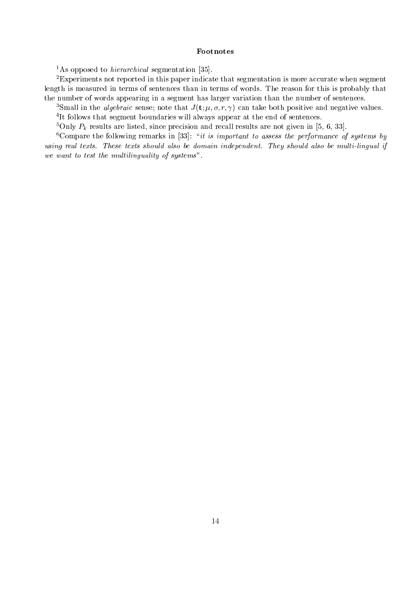# Footnotes

<sup>1</sup>As opposed to *hierarchical* segmentation [35].

 $2$ Experiments not reported in this paper indicate that segmentation is more accurate when segment length is measured in terms of sentences than in terms of words. The reason for this is probably that the number of words appearing in a segment has larger variation than the number of sentences.

<sup>3</sup>Small in the *algebraic* sense; note that  $J(t; \mu, \sigma, r, \gamma)$  can take both positive and negative values.

<sup>4</sup> It follows that segment boundaries will always appear at the end of sentences.

 $5$ Only  $P_k$  results are listed, since precision and recall results are not given in [5, 6, 33].

 $6$ Compare the following remarks in [33]: "it is important to assess the performance of systems by using real texts. These texts should also be domain independent. They should also be multi-lingual if we want to test the multilinguality of systems".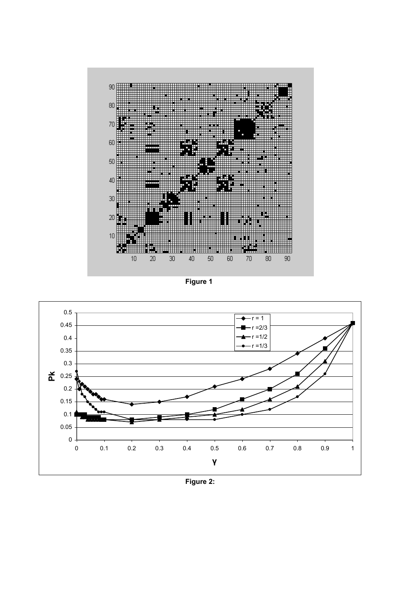





**Figure 2:**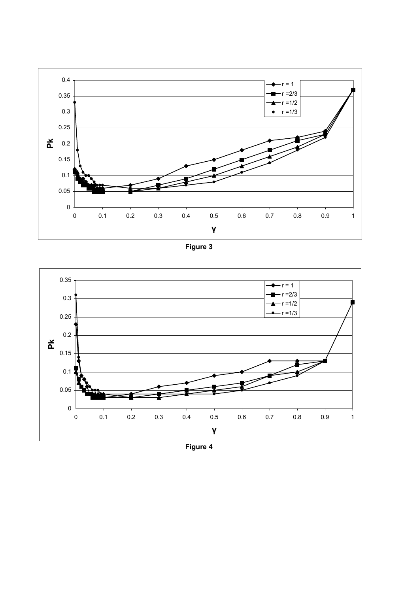





**Figure 4**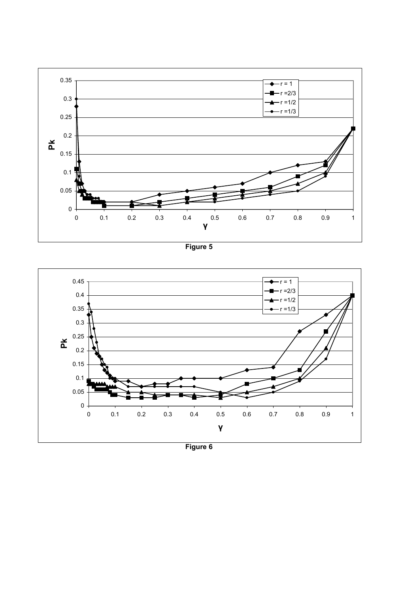





**Figure 6**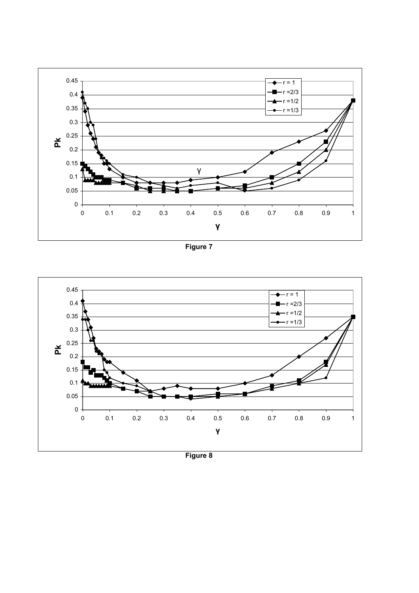

**Figure 7**



**Figure 8**